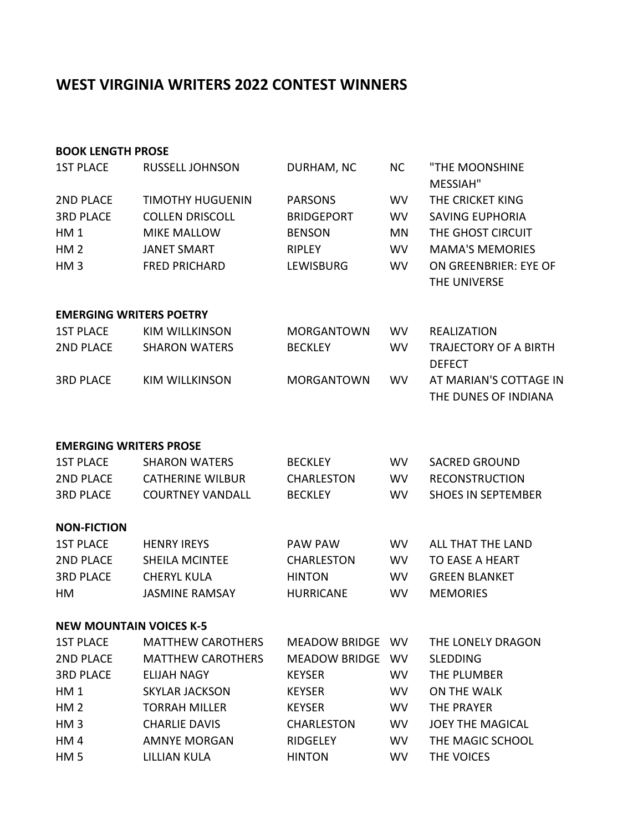## **WEST VIRGINIA WRITERS 2022 CONTEST WINNERS**

## **BOOK LENGTH PROSE**

| <b>1ST PLACE</b>              | <b>RUSSELL JOHNSON</b>         | DURHAM, NC        | <b>NC</b> | "THE MOONSHINE<br>MESSIAH"                     |
|-------------------------------|--------------------------------|-------------------|-----------|------------------------------------------------|
| <b>2ND PLACE</b>              | <b>TIMOTHY HUGUENIN</b>        | <b>PARSONS</b>    | <b>WV</b> | THE CRICKET KING                               |
| <b>3RD PLACE</b>              | <b>COLLEN DRISCOLL</b>         | <b>BRIDGEPORT</b> | <b>WV</b> | <b>SAVING EUPHORIA</b>                         |
| HM <sub>1</sub>               | <b>MIKE MALLOW</b>             | <b>BENSON</b>     | MN        | THE GHOST CIRCUIT                              |
| HM <sub>2</sub>               | <b>JANET SMART</b>             | <b>RIPLEY</b>     | <b>WV</b> | <b>MAMA'S MEMORIES</b>                         |
| HM <sub>3</sub>               | <b>FRED PRICHARD</b>           | <b>LEWISBURG</b>  | <b>WV</b> | ON GREENBRIER: EYE OF<br>THE UNIVERSE          |
|                               | <b>EMERGING WRITERS POETRY</b> |                   |           |                                                |
| <b>1ST PLACE</b>              | <b>KIM WILLKINSON</b>          | <b>MORGANTOWN</b> | <b>WV</b> | <b>REALIZATION</b>                             |
| <b>2ND PLACE</b>              | <b>SHARON WATERS</b>           | <b>BECKLEY</b>    | <b>WV</b> | <b>TRAJECTORY OF A BIRTH</b><br><b>DEFECT</b>  |
| <b>3RD PLACE</b>              | <b>KIM WILLKINSON</b>          | <b>MORGANTOWN</b> | <b>WV</b> | AT MARIAN'S COTTAGE IN<br>THE DUNES OF INDIANA |
| <b>EMERGING WRITERS PROSE</b> |                                |                   |           |                                                |
| <b>1ST PLACE</b>              | <b>SHARON WATERS</b>           | <b>BECKLEY</b>    | <b>WV</b> | <b>SACRED GROUND</b>                           |
| 2ND PLACE                     | <b>CATHERINE WILBUR</b>        | <b>CHARLESTON</b> | <b>WV</b> | <b>RECONSTRUCTION</b>                          |
| <b>3RD PLACE</b>              | <b>COURTNEY VANDALL</b>        | <b>BECKLEY</b>    | <b>WV</b> | <b>SHOES IN SEPTEMBER</b>                      |
| <b>NON-FICTION</b>            |                                |                   |           |                                                |
| <b>1ST PLACE</b>              | <b>HENRY IREYS</b>             | PAW PAW           | <b>WV</b> | ALL THAT THE LAND                              |
| <b>2ND PLACE</b>              | <b>SHEILA MCINTEE</b>          | <b>CHARLESTON</b> | <b>WV</b> | TO EASE A HEART                                |
| <b>3RD PLACE</b>              | <b>CHERYL KULA</b>             | <b>HINTON</b>     | <b>WV</b> | <b>GREEN BLANKET</b>                           |
| HM                            | <b>JASMINE RAMSAY</b>          | <b>HURRICANE</b>  | <b>WV</b> | <b>MEMORIES</b>                                |
|                               | <b>NEW MOUNTAIN VOICES K-5</b> |                   |           |                                                |
| <b>1ST PLACE</b>              | <b>MATTHEW CAROTHERS</b>       | MEADOW BRIDGE WV  |           | THE LONELY DRAGON                              |
| 2ND PLACE                     | <b>MATTHEW CAROTHERS</b>       | MEADOW BRIDGE WV  |           | <b>SLEDDING</b>                                |
| <b>3RD PLACE</b>              | <b>ELIJAH NAGY</b>             | <b>KEYSER</b>     | <b>WV</b> | THE PLUMBER                                    |
| HM <sub>1</sub>               | <b>SKYLAR JACKSON</b>          | <b>KEYSER</b>     | <b>WV</b> | ON THE WALK                                    |
| HM <sub>2</sub>               | <b>TORRAH MILLER</b>           | <b>KEYSER</b>     | <b>WV</b> | THE PRAYER                                     |
| HM <sub>3</sub>               | <b>CHARLIE DAVIS</b>           | <b>CHARLESTON</b> | <b>WV</b> | <b>JOEY THE MAGICAL</b>                        |
| HM4                           | <b>AMNYE MORGAN</b>            | RIDGELEY          | <b>WV</b> | THE MAGIC SCHOOL                               |
| HM <sub>5</sub>               | LILLIAN KULA                   | <b>HINTON</b>     | <b>WV</b> | THE VOICES                                     |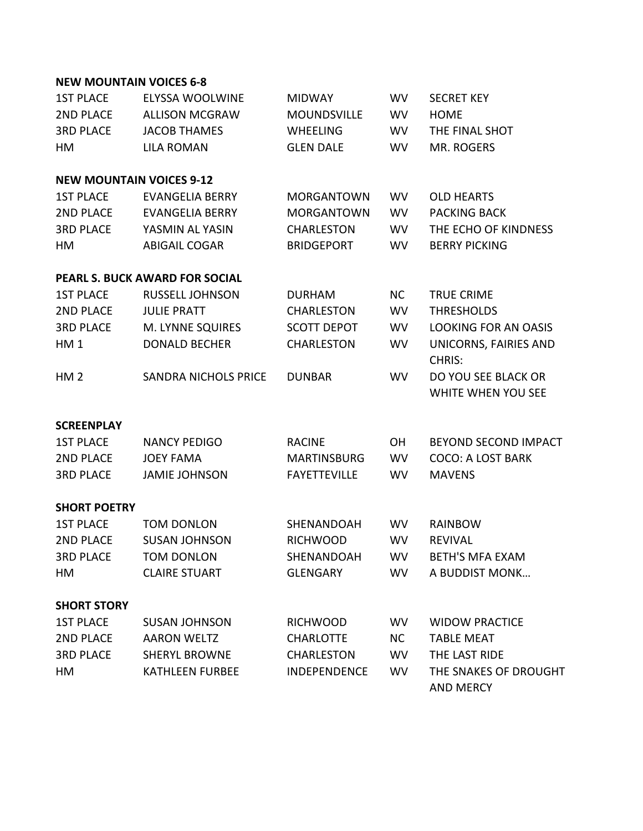## **NEW MOUNTAIN VOICES 6-8**

| <b>1ST PLACE</b>    | <b>ELYSSA WOOLWINE</b>                | <b>MIDWAY</b>       | <b>WV</b> | <b>SECRET KEY</b>                                |
|---------------------|---------------------------------------|---------------------|-----------|--------------------------------------------------|
| <b>2ND PLACE</b>    | <b>ALLISON MCGRAW</b>                 | <b>MOUNDSVILLE</b>  | <b>WV</b> | <b>HOME</b>                                      |
| <b>3RD PLACE</b>    | <b>JACOB THAMES</b>                   | <b>WHEELING</b>     | <b>WV</b> | THE FINAL SHOT                                   |
| HM                  | <b>LILA ROMAN</b>                     | <b>GLEN DALE</b>    | <b>WV</b> | MR. ROGERS                                       |
|                     | <b>NEW MOUNTAIN VOICES 9-12</b>       |                     |           |                                                  |
| <b>1ST PLACE</b>    | <b>EVANGELIA BERRY</b>                | <b>MORGANTOWN</b>   | <b>WV</b> | <b>OLD HEARTS</b>                                |
| <b>2ND PLACE</b>    | <b>EVANGELIA BERRY</b>                | <b>MORGANTOWN</b>   | <b>WV</b> | <b>PACKING BACK</b>                              |
| <b>3RD PLACE</b>    | YASMIN AL YASIN                       | <b>CHARLESTON</b>   | <b>WV</b> | THE ECHO OF KINDNESS                             |
| HM                  | <b>ABIGAIL COGAR</b>                  | <b>BRIDGEPORT</b>   | <b>WV</b> | <b>BERRY PICKING</b>                             |
|                     | <b>PEARL S. BUCK AWARD FOR SOCIAL</b> |                     |           |                                                  |
| <b>1ST PLACE</b>    | <b>RUSSELL JOHNSON</b>                | <b>DURHAM</b>       | <b>NC</b> | <b>TRUE CRIME</b>                                |
| <b>2ND PLACE</b>    | <b>JULIE PRATT</b>                    | <b>CHARLESTON</b>   | <b>WV</b> | <b>THRESHOLDS</b>                                |
| <b>3RD PLACE</b>    | M. LYNNE SQUIRES                      | <b>SCOTT DEPOT</b>  | <b>WV</b> | <b>LOOKING FOR AN OASIS</b>                      |
| HM <sub>1</sub>     | <b>DONALD BECHER</b>                  | <b>CHARLESTON</b>   | <b>WV</b> | UNICORNS, FAIRIES AND<br><b>CHRIS:</b>           |
| HM <sub>2</sub>     | <b>SANDRA NICHOLS PRICE</b>           | <b>DUNBAR</b>       | <b>WV</b> | DO YOU SEE BLACK OR<br><b>WHITE WHEN YOU SEE</b> |
| <b>SCREENPLAY</b>   |                                       |                     |           |                                                  |
| <b>1ST PLACE</b>    | <b>NANCY PEDIGO</b>                   | <b>RACINE</b>       | OH        | BEYOND SECOND IMPACT                             |
| 2ND PLACE           | <b>JOEY FAMA</b>                      | <b>MARTINSBURG</b>  | <b>WV</b> | <b>COCO: A LOST BARK</b>                         |
| <b>3RD PLACE</b>    | <b>JAMIE JOHNSON</b>                  | <b>FAYETTEVILLE</b> | <b>WV</b> | <b>MAVENS</b>                                    |
| <b>SHORT POETRY</b> |                                       |                     |           |                                                  |
| <b>1ST PLACE</b>    | <b>TOM DONLON</b>                     | SHENANDOAH          | <b>WV</b> | <b>RAINBOW</b>                                   |
| <b>2ND PLACE</b>    | <b>SUSAN JOHNSON</b>                  | <b>RICHWOOD</b>     | <b>WV</b> | <b>REVIVAL</b>                                   |
| <b>3RD PLACE</b>    | <b>TOM DONLON</b>                     | SHENANDOAH          | <b>WV</b> | <b>BETH'S MFA EXAM</b>                           |
| HM                  | <b>CLAIRE STUART</b>                  | <b>GLENGARY</b>     | WV.       | A BUDDIST MONK                                   |
| <b>SHORT STORY</b>  |                                       |                     |           |                                                  |
| <b>1ST PLACE</b>    | <b>SUSAN JOHNSON</b>                  | <b>RICHWOOD</b>     | <b>WV</b> | <b>WIDOW PRACTICE</b>                            |
| <b>2ND PLACE</b>    | <b>AARON WELTZ</b>                    | <b>CHARLOTTE</b>    | <b>NC</b> | <b>TABLE MEAT</b>                                |
| <b>3RD PLACE</b>    | <b>SHERYL BROWNE</b>                  | <b>CHARLESTON</b>   | <b>WV</b> | THE LAST RIDE                                    |
| НM                  | <b>KATHLEEN FURBEE</b>                | <b>INDEPENDENCE</b> | <b>WV</b> | THE SNAKES OF DROUGHT<br><b>AND MERCY</b>        |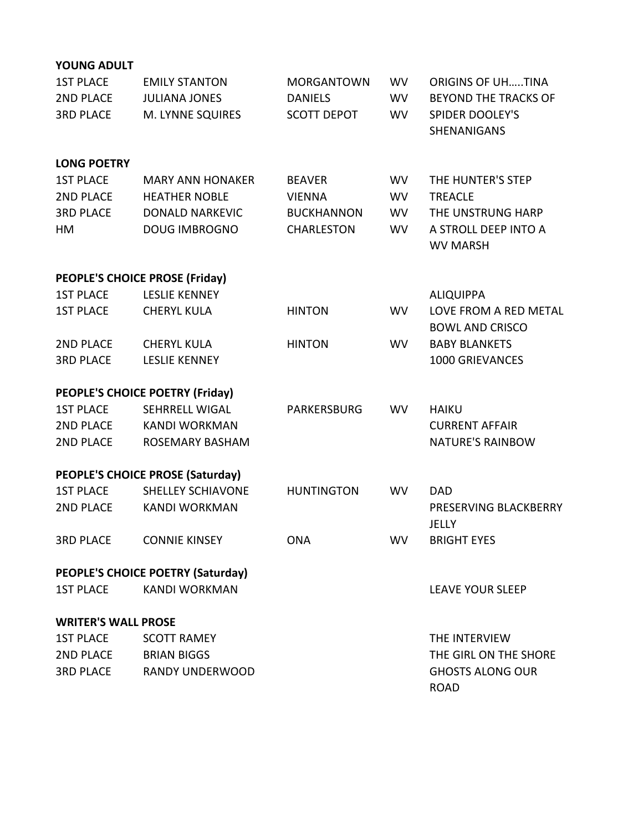| <b>YOUNG ADULT</b>                   |                                                  |                    |           |                             |
|--------------------------------------|--------------------------------------------------|--------------------|-----------|-----------------------------|
| <b>1ST PLACE</b>                     | <b>EMILY STANTON</b>                             | <b>MORGANTOWN</b>  | <b>WV</b> | <b>ORIGINS OF UHTINA</b>    |
| <b>2ND PLACE</b>                     | <b>JULIANA JONES</b>                             | <b>DANIELS</b>     | <b>WV</b> | <b>BEYOND THE TRACKS OF</b> |
| <b>3RD PLACE</b>                     | M. LYNNE SQUIRES                                 | <b>SCOTT DEPOT</b> | <b>WV</b> | <b>SPIDER DOOLEY'S</b>      |
|                                      |                                                  |                    |           | <b>SHENANIGANS</b>          |
| <b>LONG POETRY</b>                   |                                                  |                    |           |                             |
| <b>1ST PLACE</b>                     | <b>MARY ANN HONAKER</b>                          | <b>BEAVER</b>      | <b>WV</b> | THE HUNTER'S STEP           |
| <b>2ND PLACE</b>                     | <b>HEATHER NOBLE</b>                             | <b>VIENNA</b>      | <b>WV</b> | <b>TREACLE</b>              |
| <b>3RD PLACE</b>                     | <b>DONALD NARKEVIC</b>                           | <b>BUCKHANNON</b>  | <b>WV</b> | THE UNSTRUNG HARP           |
| HM                                   | <b>DOUG IMBROGNO</b>                             | <b>CHARLESTON</b>  | <b>WV</b> | A STROLL DEEP INTO A        |
|                                      |                                                  |                    |           | <b>WV MARSH</b>             |
|                                      | PEOPLE'S CHOICE PROSE (Friday)                   |                    |           |                             |
| <b>1ST PLACE</b>                     | <b>LESLIE KENNEY</b>                             |                    |           | <b>ALIQUIPPA</b>            |
| <b>1ST PLACE</b>                     | <b>CHERYL KULA</b>                               | <b>HINTON</b>      | <b>WV</b> | LOVE FROM A RED METAL       |
|                                      |                                                  |                    |           | <b>BOWL AND CRISCO</b>      |
| <b>2ND PLACE</b>                     | <b>CHERYL KULA</b>                               | <b>HINTON</b>      | <b>WV</b> | <b>BABY BLANKETS</b>        |
| <b>3RD PLACE</b>                     | <b>LESLIE KENNEY</b>                             |                    |           | 1000 GRIEVANCES             |
|                                      | <b>PEOPLE'S CHOICE POETRY (Friday)</b>           |                    |           |                             |
| <b>1ST PLACE</b>                     | <b>SEHRRELL WIGAL</b>                            | PARKERSBURG        | <b>WV</b> | <b>HAIKU</b>                |
| <b>2ND PLACE</b>                     | <b>KANDI WORKMAN</b>                             |                    |           | <b>CURRENT AFFAIR</b>       |
| <b>2ND PLACE</b>                     | <b>ROSEMARY BASHAM</b>                           |                    |           | <b>NATURE'S RAINBOW</b>     |
|                                      |                                                  |                    |           |                             |
|                                      | <b>PEOPLE'S CHOICE PROSE (Saturday)</b>          |                    |           | <b>DAD</b>                  |
| <b>1ST PLACE</b><br><b>2ND PLACE</b> | <b>SHELLEY SCHIAVONE</b><br><b>KANDI WORKMAN</b> | <b>HUNTINGTON</b>  | <b>WV</b> | PRESERVING BLACKBERRY       |
|                                      |                                                  |                    |           | JELLY                       |
| <b>3RD PLACE</b>                     | <b>CONNIE KINSEY</b>                             | <b>ONA</b>         | <b>WV</b> | <b>BRIGHT EYES</b>          |
|                                      |                                                  |                    |           |                             |
|                                      | PEOPLE'S CHOICE POETRY (Saturday)                |                    |           |                             |
| <b>1ST PLACE</b>                     | <b>KANDI WORKMAN</b>                             |                    |           | <b>LEAVE YOUR SLEEP</b>     |
| <b>WRITER'S WALL PROSE</b>           |                                                  |                    |           |                             |
| <b>1ST PLACE</b>                     | <b>SCOTT RAMEY</b>                               |                    |           | THE INTERVIEW               |
| <b>2ND PLACE</b>                     | <b>BRIAN BIGGS</b>                               |                    |           | THE GIRL ON THE SHORE       |
| <b>3RD PLACE</b>                     | <b>RANDY UNDERWOOD</b>                           |                    |           | <b>GHOSTS ALONG OUR</b>     |
|                                      |                                                  |                    |           | <b>ROAD</b>                 |